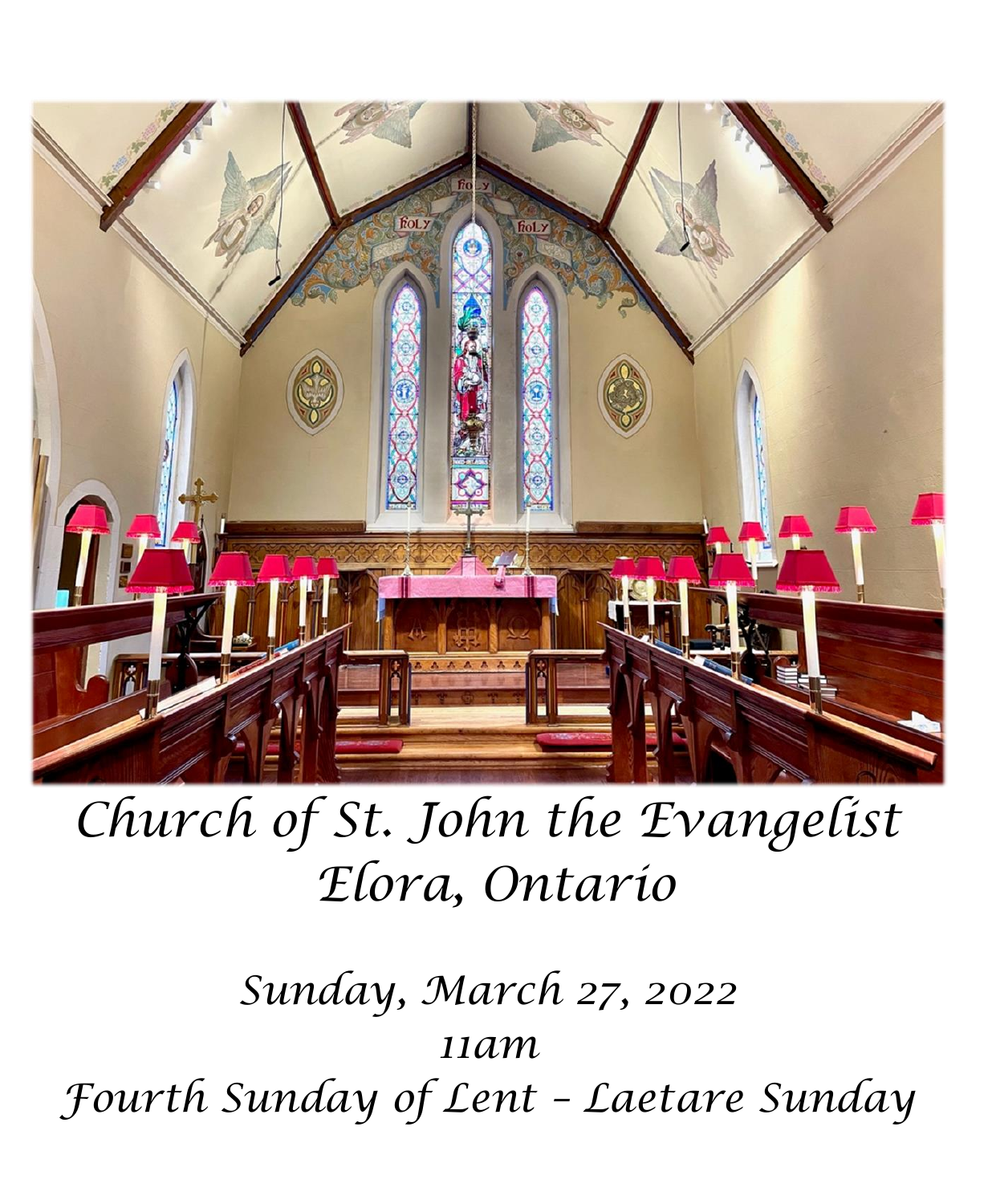

# *Church of St. John the Evangelist Elora, Ontario*

*Sunday, March 27, 2022 11am*

*Fourth Sunday of Lent – Laetare Sunday*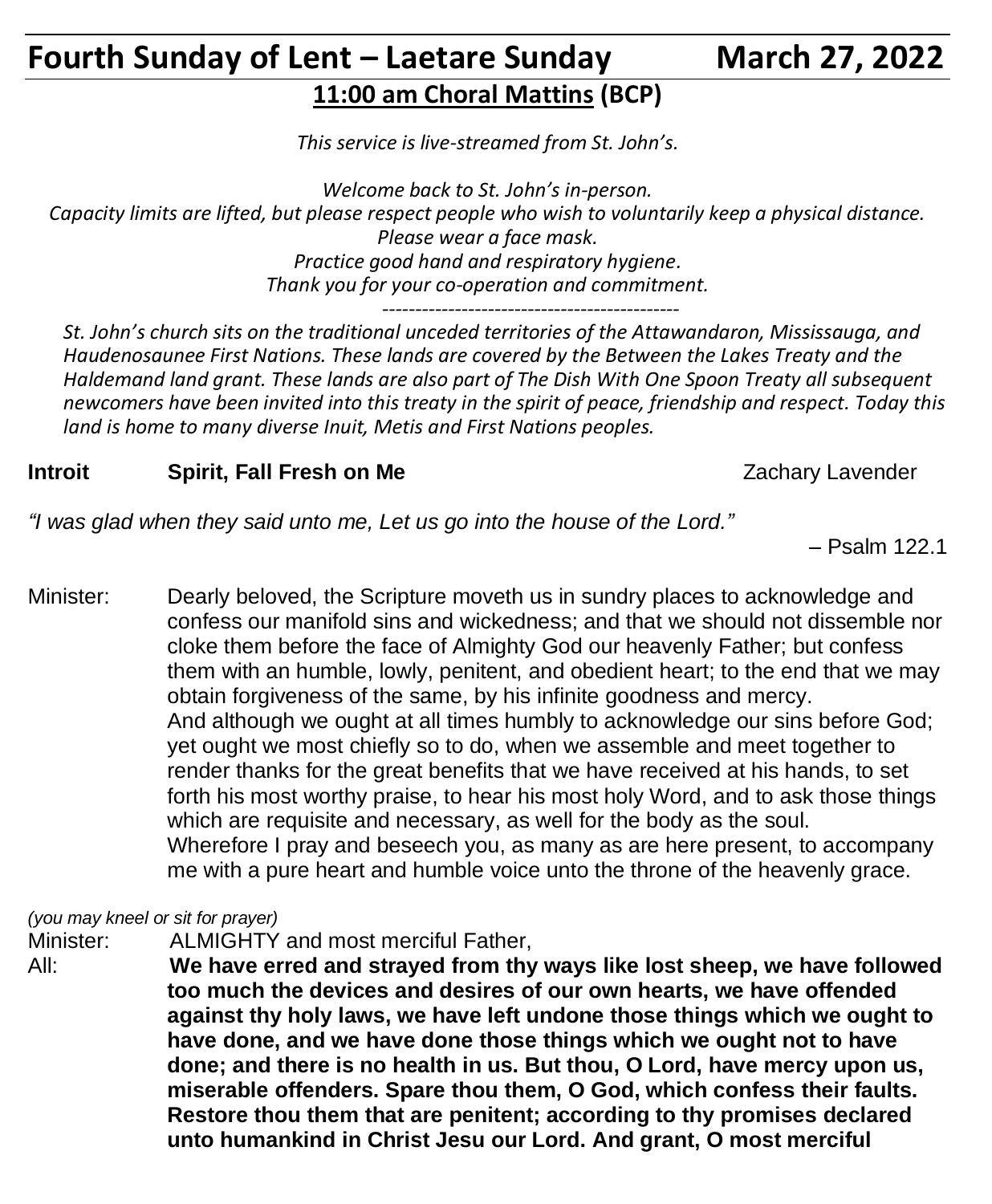**Fourth Sunday of Lent – Laetare Sunday March 27, 2022 11:00 am Choral Mattins (BCP)**

*This service is live-streamed from St. John's.*

*Welcome back to St. John's in-person. Capacity limits are lifted, but please respect people who wish to voluntarily keep a physical distance. Please wear a face mask. Practice good hand and respiratory hygiene. Thank you for your co-operation and commitment. ---------------------------------------------* 

*St. John's church sits on the traditional unceded territories of the Attawandaron, Mississauga, and Haudenosaunee First Nations. These lands are covered by the Between the Lakes Treaty and the Haldemand land grant. These lands are also part of The Dish With One Spoon Treaty all subsequent newcomers have been invited into this treaty in the spirit of peace, friendship and respect. Today this land is home to many diverse Inuit, Metis and First Nations peoples.*

**Introit Spirit, Fall Fresh on Me Subseteral** *Example* **2 achary Lavender and** *Lavender* **and** *Lavender* **and** *Lavender* 

*"I was glad when they said unto me, Let us go into the house of the Lord."*

– Psalm 122.1

Minister: Dearly beloved, the Scripture moveth us in sundry places to acknowledge and confess our manifold sins and wickedness; and that we should not dissemble nor cloke them before the face of Almighty God our heavenly Father; but confess them with an humble, lowly, penitent, and obedient heart; to the end that we may obtain forgiveness of the same, by his infinite goodness and mercy. And although we ought at all times humbly to acknowledge our sins before God; yet ought we most chiefly so to do, when we assemble and meet together to render thanks for the great benefits that we have received at his hands, to set forth his most worthy praise, to hear his most holy Word, and to ask those things which are requisite and necessary, as well for the body as the soul. Wherefore I pray and beseech you, as many as are here present, to accompany me with a pure heart and humble voice unto the throne of the heavenly grace.

*(you may kneel or sit for prayer)*

Minister: ALMIGHTY and most merciful Father,

All: **We have erred and strayed from thy ways like lost sheep, we have followed too much the devices and desires of our own hearts, we have offended against thy holy laws, we have left undone those things which we ought to have done, and we have done those things which we ought not to have done; and there is no health in us. But thou, O Lord, have mercy upon us, miserable offenders. Spare thou them, O God, which confess their faults. Restore thou them that are penitent; according to thy promises declared unto humankind in Christ Jesu our Lord. And grant, O most merciful**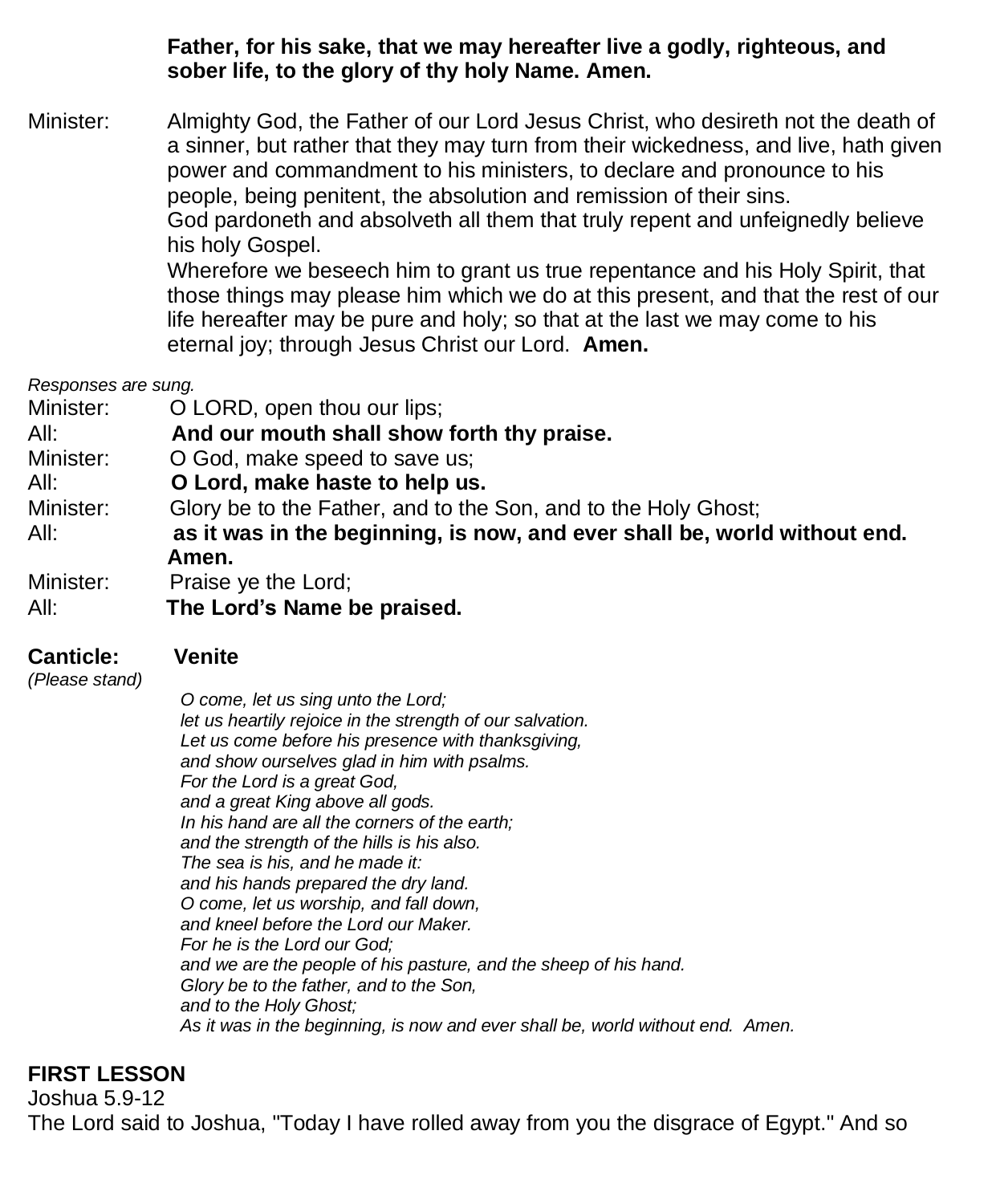#### **Father, for his sake, that we may hereafter live a godly, righteous, and sober life, to the glory of thy holy Name. Amen.**

Minister: Almighty God, the Father of our Lord Jesus Christ, who desireth not the death of a sinner, but rather that they may turn from their wickedness, and live, hath given power and commandment to his ministers, to declare and pronounce to his people, being penitent, the absolution and remission of their sins. God pardoneth and absolveth all them that truly repent and unfeignedly believe his holy Gospel. Wherefore we beseech him to grant us true repentance and his Holy Spirit, that those things may please him which we do at this present, and that the rest of our life hereafter may be pure and holy; so that at the last we may come to his eternal joy; through Jesus Christ our Lord. **Amen.**

*Responses are sung.*

| Minister: | O LORD, open thou our lips;                                               |
|-----------|---------------------------------------------------------------------------|
| All:      | And our mouth shall show forth thy praise.                                |
| Minister: | O God, make speed to save us;                                             |
| All:      | O Lord, make haste to help us.                                            |
| Minister: | Glory be to the Father, and to the Son, and to the Holy Ghost;            |
| All:      | as it was in the beginning, is now, and ever shall be, world without end. |
|           | Amen.                                                                     |
| Minister: | Praise ye the Lord;                                                       |
| All:      | The Lord's Name be praised.                                               |

#### **Canticle: Venite**

*(Please stand)*

*O come, let us sing unto the Lord; let us heartily rejoice in the strength of our salvation. Let us come before his presence with thanksgiving, and show ourselves glad in him with psalms. For the Lord is a great God, and a great King above all gods. In his hand are all the corners of the earth; and the strength of the hills is his also. The sea is his, and he made it: and his hands prepared the dry land. O come, let us worship, and fall down, and kneel before the Lord our Maker. For he is the Lord our God; and we are the people of his pasture, and the sheep of his hand. Glory be to the father, and to the Son, and to the Holy Ghost; As it was in the beginning, is now and ever shall be, world without end. Amen.*

#### **FIRST LESSON**

Joshua 5.9-12 The Lord said to Joshua, "Today I have rolled away from you the disgrace of Egypt." And so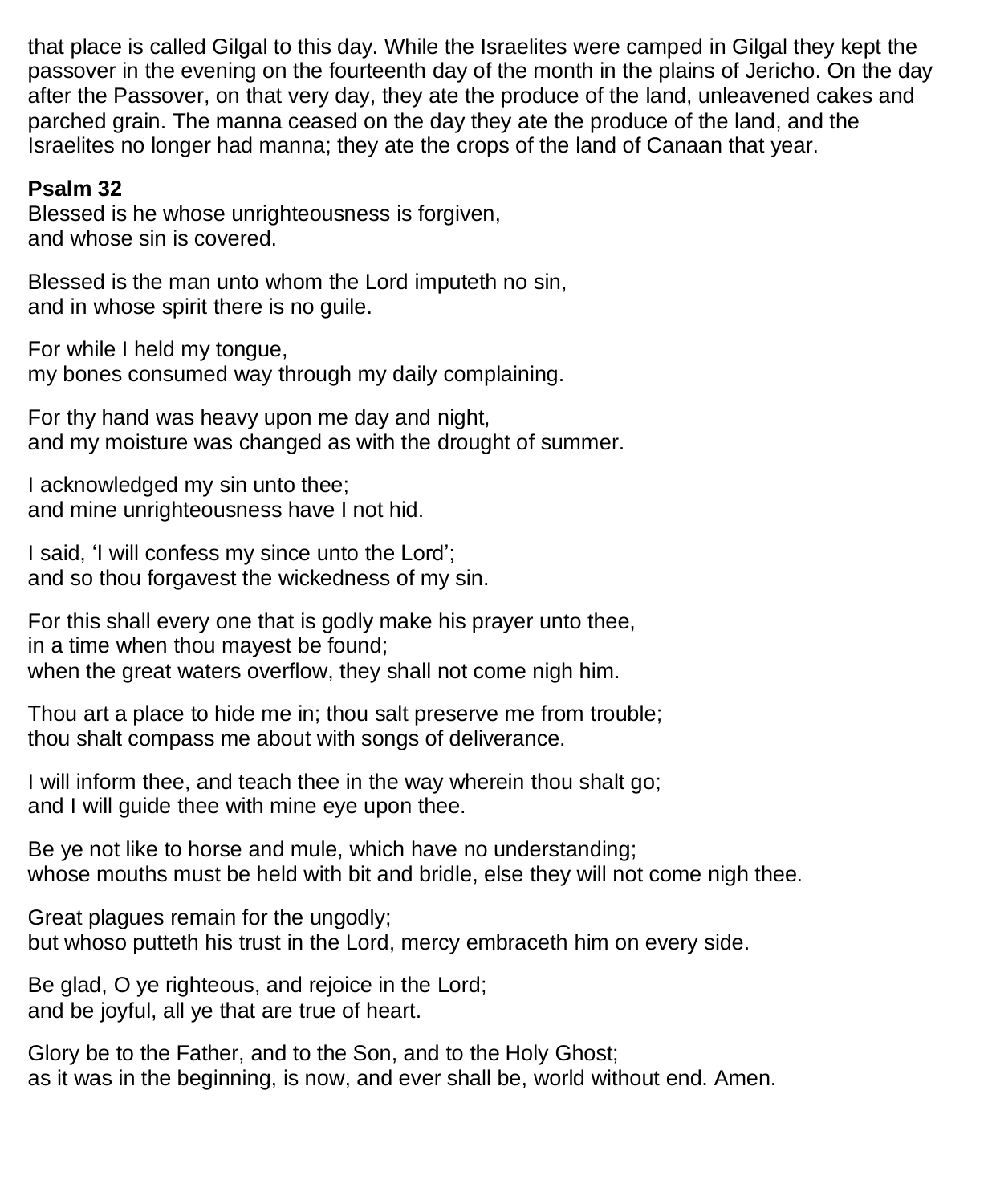that place is called Gilgal to this day. While the Israelites were camped in Gilgal they kept the passover in the evening on the fourteenth day of the month in the plains of Jericho. On the day after the Passover, on that very day, they ate the produce of the land, unleavened cakes and parched grain. The manna ceased on the day they ate the produce of the land, and the Israelites no longer had manna; they ate the crops of the land of Canaan that year.

#### **Psalm 32**

Blessed is he whose unrighteousness is forgiven, and whose sin is covered.

Blessed is the man unto whom the Lord imputeth no sin, and in whose spirit there is no guile.

For while I held my tongue, my bones consumed way through my daily complaining.

For thy hand was heavy upon me day and night, and my moisture was changed as with the drought of summer.

I acknowledged my sin unto thee; and mine unrighteousness have I not hid.

I said, 'I will confess my since unto the Lord'; and so thou forgavest the wickedness of my sin.

For this shall every one that is godly make his prayer unto thee, in a time when thou mayest be found; when the great waters overflow, they shall not come nigh him.

Thou art a place to hide me in; thou salt preserve me from trouble; thou shalt compass me about with songs of deliverance.

I will inform thee, and teach thee in the way wherein thou shalt go; and I will guide thee with mine eye upon thee.

Be ye not like to horse and mule, which have no understanding; whose mouths must be held with bit and bridle, else they will not come nigh thee.

Great plagues remain for the ungodly; but whoso putteth his trust in the Lord, mercy embraceth him on every side.

Be glad, O ye righteous, and rejoice in the Lord; and be joyful, all ye that are true of heart.

Glory be to the Father, and to the Son, and to the Holy Ghost; as it was in the beginning, is now, and ever shall be, world without end. Amen.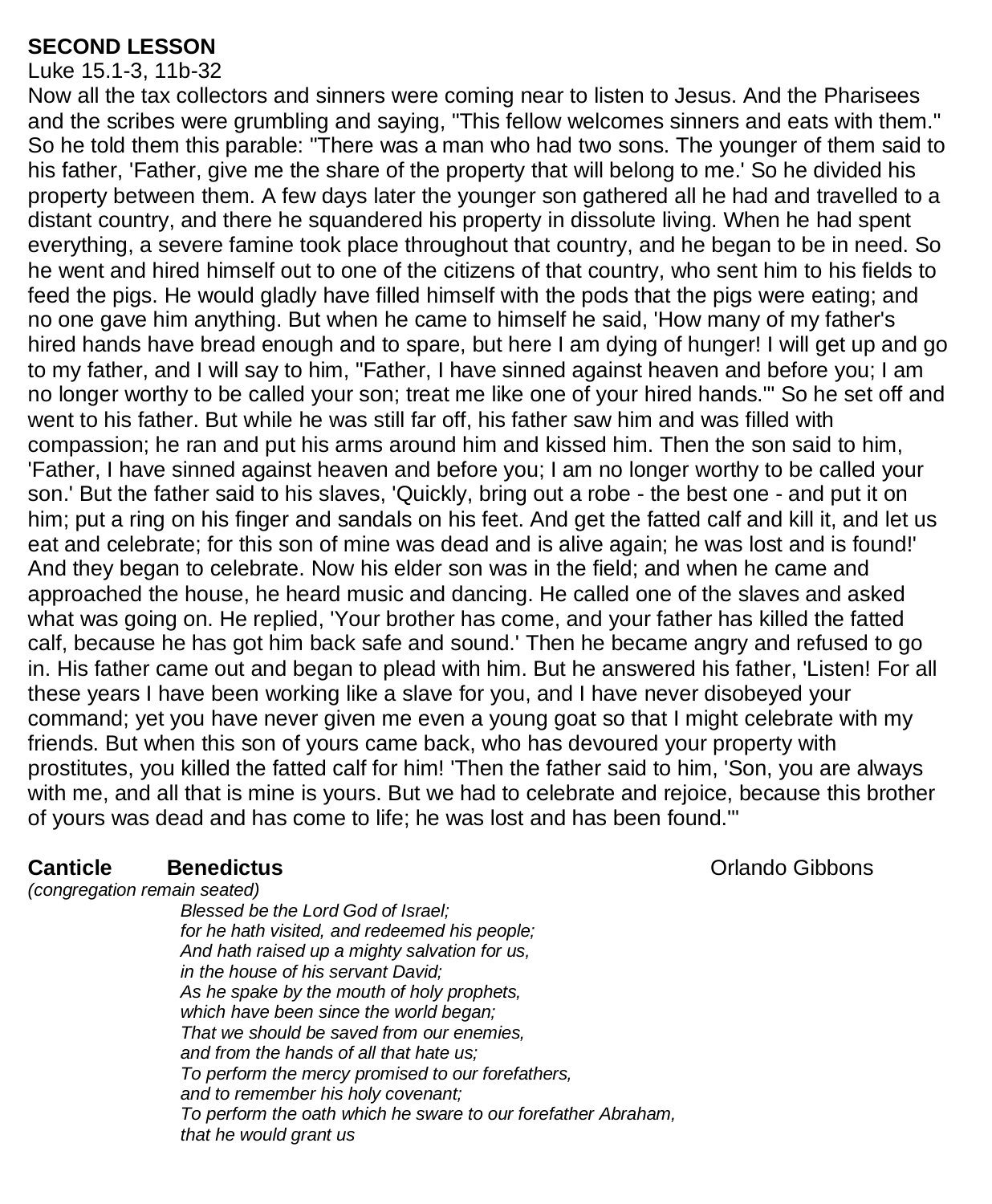#### **SECOND LESSON**

#### Luke 15.1-3, 11b-32

Now all the tax collectors and sinners were coming near to listen to Jesus. And the Pharisees and the scribes were grumbling and saying, "This fellow welcomes sinners and eats with them." So he told them this parable: "There was a man who had two sons. The younger of them said to his father, 'Father, give me the share of the property that will belong to me.' So he divided his property between them. A few days later the younger son gathered all he had and travelled to a distant country, and there he squandered his property in dissolute living. When he had spent everything, a severe famine took place throughout that country, and he began to be in need. So he went and hired himself out to one of the citizens of that country, who sent him to his fields to feed the pigs. He would gladly have filled himself with the pods that the pigs were eating; and no one gave him anything. But when he came to himself he said, 'How many of my father's hired hands have bread enough and to spare, but here I am dying of hunger! I will get up and go to my father, and I will say to him, "Father, I have sinned against heaven and before you; I am no longer worthy to be called your son; treat me like one of your hired hands."' So he set off and went to his father. But while he was still far off, his father saw him and was filled with compassion; he ran and put his arms around him and kissed him. Then the son said to him, 'Father, I have sinned against heaven and before you; I am no longer worthy to be called your son.' But the father said to his slaves, 'Quickly, bring out a robe - the best one - and put it on him; put a ring on his finger and sandals on his feet. And get the fatted calf and kill it, and let us eat and celebrate; for this son of mine was dead and is alive again; he was lost and is found!' And they began to celebrate. Now his elder son was in the field; and when he came and approached the house, he heard music and dancing. He called one of the slaves and asked what was going on. He replied, 'Your brother has come, and your father has killed the fatted calf, because he has got him back safe and sound.' Then he became angry and refused to go in. His father came out and began to plead with him. But he answered his father, 'Listen! For all these years I have been working like a slave for you, and I have never disobeyed your command; yet you have never given me even a young goat so that I might celebrate with my friends. But when this son of yours came back, who has devoured your property with prostitutes, you killed the fatted calf for him! 'Then the father said to him, 'Son, you are always with me, and all that is mine is yours. But we had to celebrate and rejoice, because this brother of yours was dead and has come to life; he was lost and has been found.'"

#### **Canticle Benedictus Canticle Benedictus Canticle Benedictus Canticle Benedictus**

*(congregation remain seated) Blessed be the Lord God of Israel; for he hath visited, and redeemed his people; And hath raised up a mighty salvation for us, in the house of his servant David; As he spake by the mouth of holy prophets, which have been since the world began; That we should be saved from our enemies, and from the hands of all that hate us; To perform the mercy promised to our forefathers, and to remember his holy covenant; To perform the oath which he sware to our forefather Abraham, that he would grant us*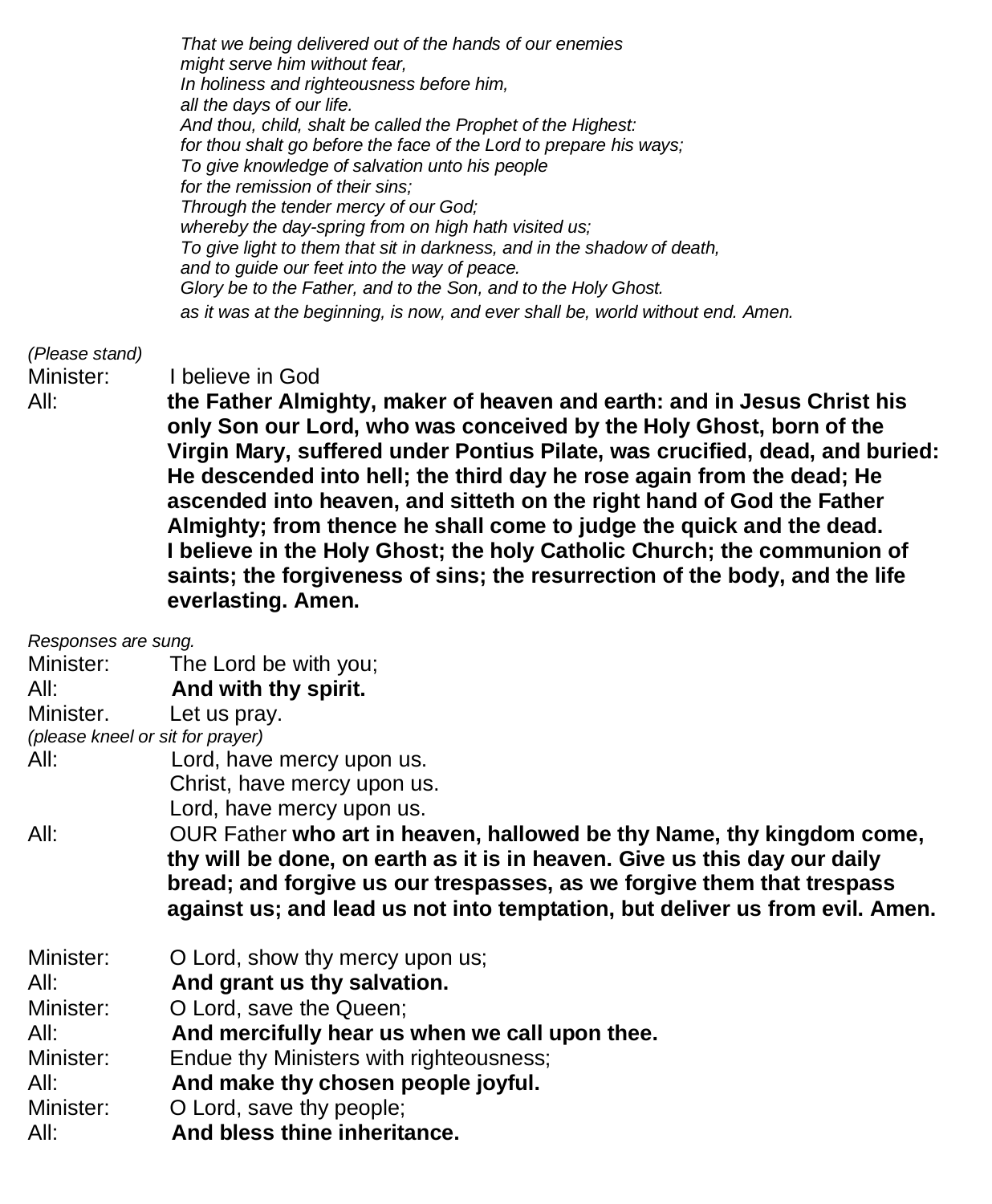*That we being delivered out of the hands of our enemies might serve him without fear, In holiness and righteousness before him, all the days of our life. And thou, child, shalt be called the Prophet of the Highest: for thou shalt go before the face of the Lord to prepare his ways; To give knowledge of salvation unto his people for the remission of their sins; Through the tender mercy of our God; whereby the day-spring from on high hath visited us; To give light to them that sit in darkness, and in the shadow of death, and to guide our feet into the way of peace. Glory be to the Father, and to the Son, and to the Holy Ghost. as it was at the beginning, is now, and ever shall be, world without end. Amen.*

*(Please stand)*

Minister: I believe in God

All: **the Father Almighty, maker of heaven and earth: and in Jesus Christ his only Son our Lord, who was conceived by the Holy Ghost, born of the Virgin Mary, suffered under Pontius Pilate, was crucified, dead, and buried: He descended into hell; the third day he rose again from the dead; He ascended into heaven, and sitteth on the right hand of God the Father Almighty; from thence he shall come to judge the quick and the dead. I believe in the Holy Ghost; the holy Catholic Church; the communion of saints; the forgiveness of sins; the resurrection of the body, and the life everlasting. Amen.**

*Responses are sung.*

Minister: The Lord be with you;

#### All: **And with thy spirit.**

Minister. Let us pray.

*(please kneel or sit for prayer)*

- All: Lord, have mercy upon us. Christ, have mercy upon us. Lord, have mercy upon us.
- All: OUR Father **who art in heaven, hallowed be thy Name, thy kingdom come,**
- **thy will be done, on earth as it is in heaven. Give us this day our daily bread; and forgive us our trespasses, as we forgive them that trespass against us; and lead us not into temptation, but deliver us from evil. Amen.**
- Minister: **O** Lord, show thy mercy upon us;
- All: **And grant us thy salvation.**
- Minister: O Lord, save the Queen;
- All: **And mercifully hear us when we call upon thee.**
- Minister: Endue thy Ministers with righteousness;
- All: **And make thy chosen people joyful.**
- Minister: O Lord, save thy people;
- All: **And bless thine inheritance.**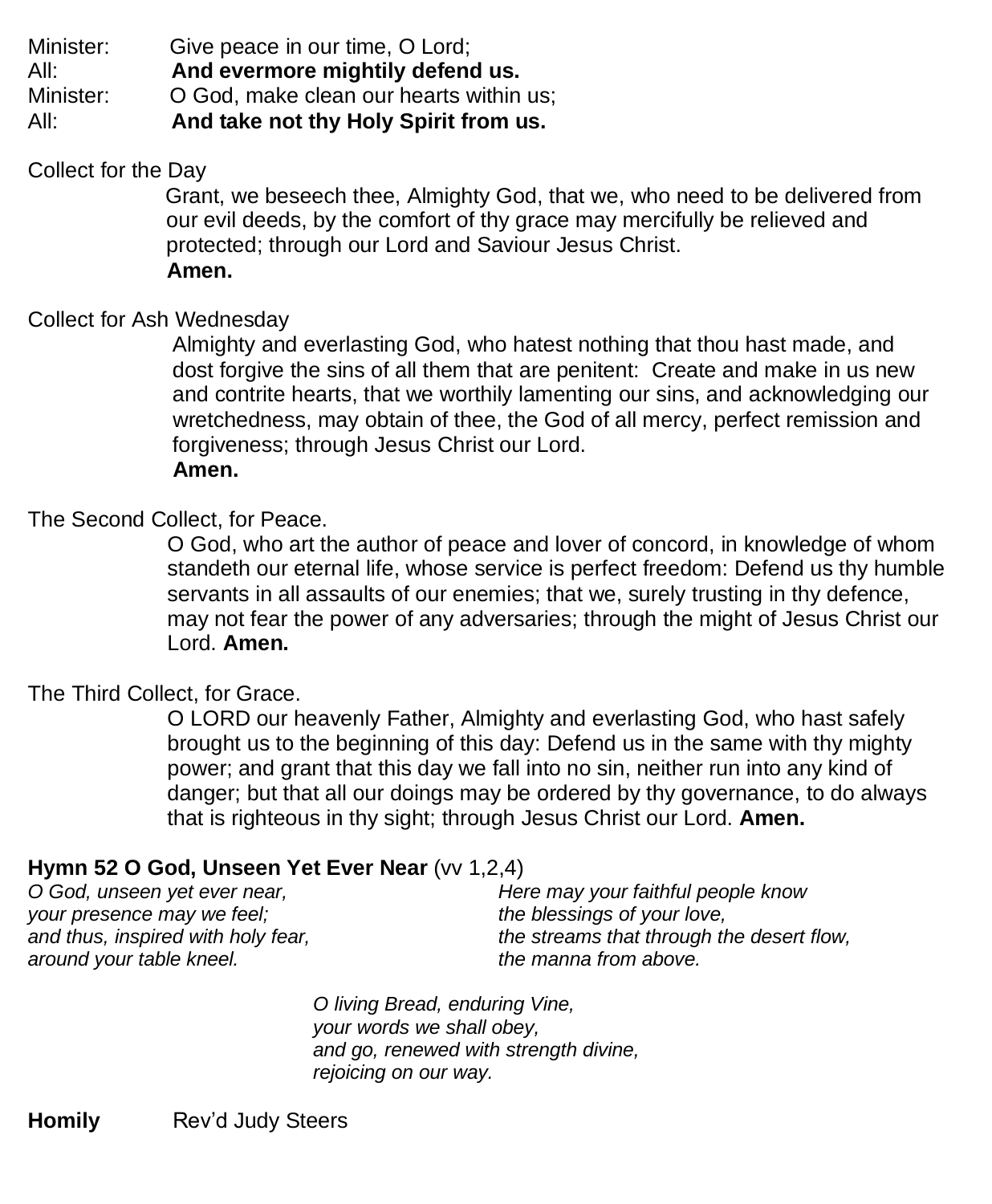Minister: Give peace in our time, O Lord; All: **And evermore mightily defend us.** Minister: O God, make clean our hearts within us; All: **And take not thy Holy Spirit from us.**

Collect for the Day

 Grant, we beseech thee, Almighty God, that we, who need to be delivered from our evil deeds, by the comfort of thy grace may mercifully be relieved and protected; through our Lord and Saviour Jesus Christ. **Amen.**

Collect for Ash Wednesday

 Almighty and everlasting God, who hatest nothing that thou hast made, and dost forgive the sins of all them that are penitent: Create and make in us new and contrite hearts, that we worthily lamenting our sins, and acknowledging our wretchedness, may obtain of thee, the God of all mercy, perfect remission and forgiveness; through Jesus Christ our Lord. **Amen.**

The Second Collect, for Peace.

O God, who art the author of peace and lover of concord, in knowledge of whom standeth our eternal life, whose service is perfect freedom: Defend us thy humble servants in all assaults of our enemies; that we, surely trusting in thy defence, may not fear the power of any adversaries; through the might of Jesus Christ our Lord. **Amen.**

The Third Collect, for Grace.

O LORD our heavenly Father, Almighty and everlasting God, who hast safely brought us to the beginning of this day: Defend us in the same with thy mighty power; and grant that this day we fall into no sin, neither run into any kind of danger; but that all our doings may be ordered by thy governance, to do always that is righteous in thy sight; through Jesus Christ our Lord. **Amen.**

#### **Hymn 52 O God, Unseen Yet Ever Near** (vv 1,2,4)

| O God, unseen yet ever near,       | Here may your faithful people know        |
|------------------------------------|-------------------------------------------|
| your presence may we feel:         | the blessings of your love,               |
| and thus, inspired with holy fear, | the streams that through the desert flow, |
| around your table kneel.           | the manna from above.                     |

*O living Bread, enduring Vine, your words we shall obey, and go, renewed with strength divine, rejoicing on our way.*

**Homily** Rev'd Judy Steers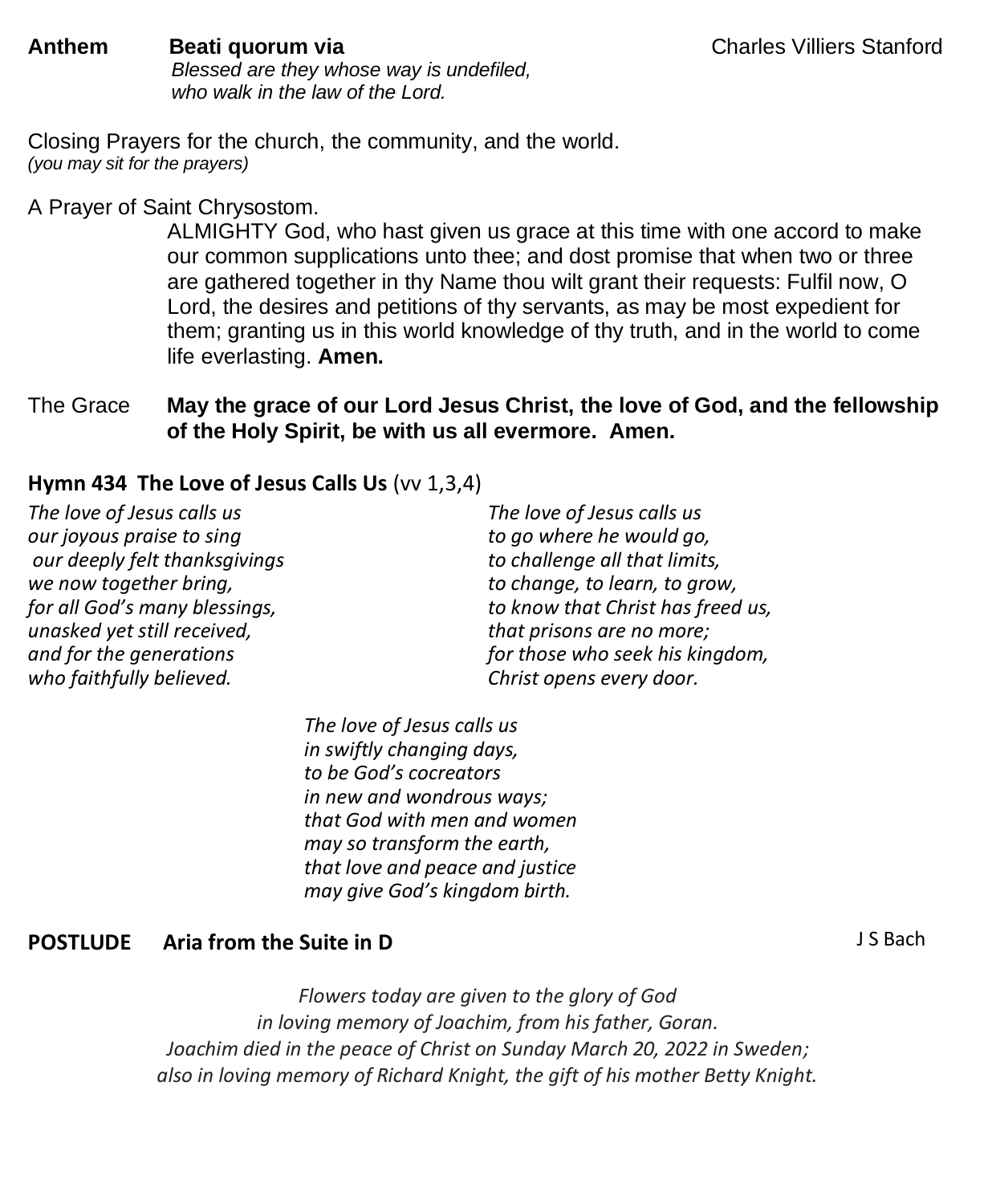# **Anthem Beati quorum via Charles Villiers Stanford Charles Villiers Stanford**

*Blessed are they whose way is undefiled, who walk in the law of the Lord.*

Closing Prayers for the church, the community, and the world. *(you may sit for the prayers)*

A Prayer of Saint Chrysostom.

ALMIGHTY God, who hast given us grace at this time with one accord to make our common supplications unto thee; and dost promise that when two or three are gathered together in thy Name thou wilt grant their requests: Fulfil now, O Lord, the desires and petitions of thy servants, as may be most expedient for them; granting us in this world knowledge of thy truth, and in the world to come life everlasting. **Amen.**

#### The Grace **May the grace of our Lord Jesus Christ, the love of God, and the fellowship of the Holy Spirit, be with us all evermore. Amen.**

## **Hymn 434 The Love of Jesus Calls Us** (vv 1,3,4)

| The love of Jesus calls us    | The love of Jesus calls us        |
|-------------------------------|-----------------------------------|
| our joyous praise to sing     | to go where he would go,          |
| our deeply felt thanksgivings | to challenge all that limits,     |
| we now together bring,        | to change, to learn, to grow,     |
| for all God's many blessings, | to know that Christ has freed us, |
| unasked yet still received,   | that prisons are no more;         |
| and for the generations       | for those who seek his kingdom,   |
| who faithfully believed.      | Christ opens every door.          |

*The love of Jesus calls us in swiftly changing days, to be God's cocreators in new and wondrous ways; that God with men and women may so transform the earth, that love and peace and justice may give God's kingdom birth.*

#### **POSTLUDE** Aria from the Suite in D Aria Season Aria Season Aria Season Aria Season Aria Season Aria Season Aria Season Aria Season Aria Season Aria Season Aria Season Aria Season Aria Season Aria Season Aria Season Aria S

*Flowers today are given to the glory of God in loving memory of Joachim, from his father, Goran. Joachim died in the peace of Christ on Sunday March 20, 2022 in Sweden; also in loving memory of Richard Knight, the gift of his mother Betty Knight.*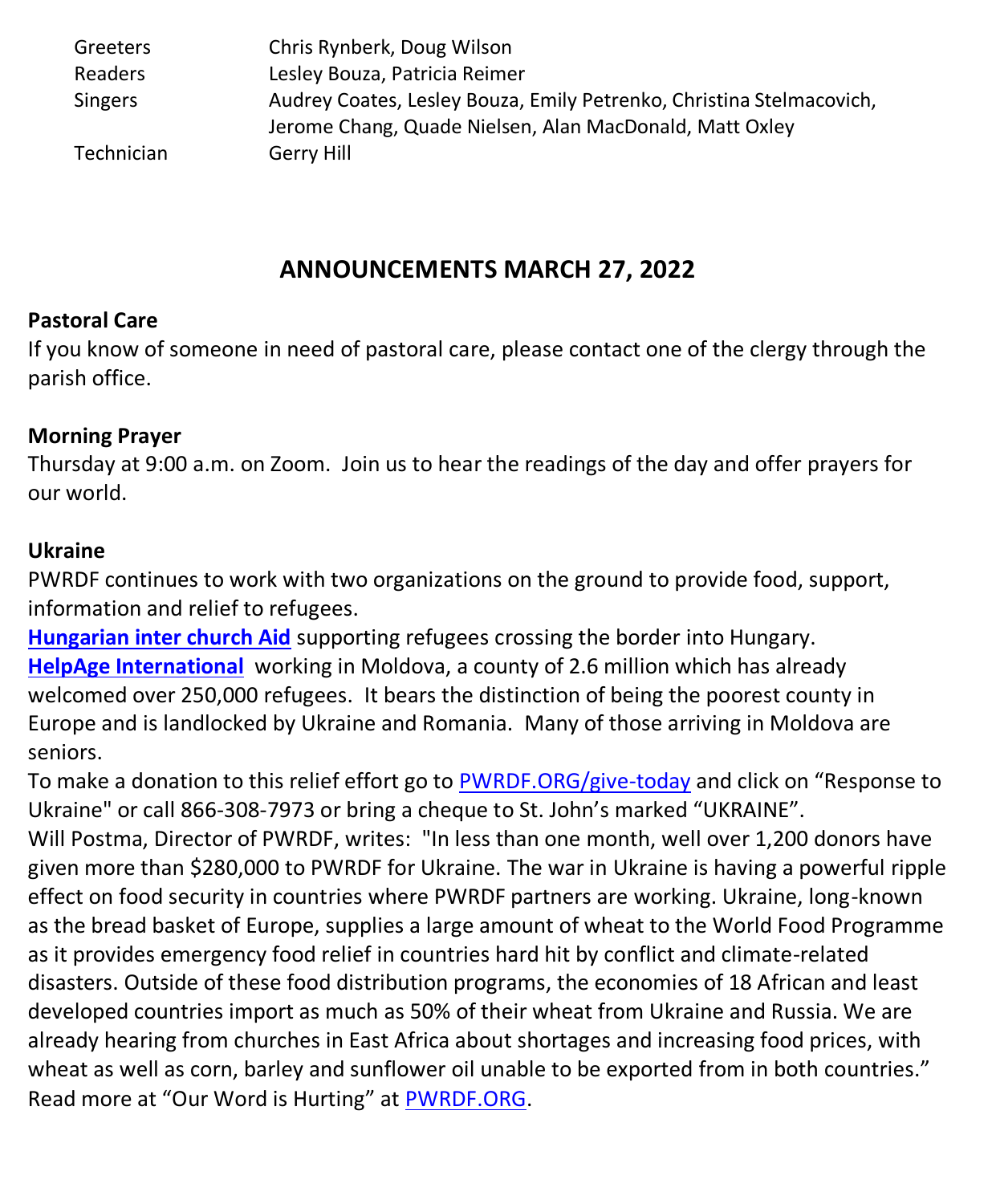| Greeters       | Chris Rynberk, Doug Wilson                                           |
|----------------|----------------------------------------------------------------------|
| Readers        | Lesley Bouza, Patricia Reimer                                        |
| <b>Singers</b> | Audrey Coates, Lesley Bouza, Emily Petrenko, Christina Stelmacovich, |
|                | Jerome Chang, Quade Nielsen, Alan MacDonald, Matt Oxley              |
| Technician     | Gerry Hill                                                           |

# **ANNOUNCEMENTS MARCH 27, 2022**

## **Pastoral Care**

If you know of someone in need of pastoral care, please contact one of the clergy through the parish office.

## **Morning Prayer**

Thursday at 9:00 a.m. on Zoom. Join us to hear the readings of the day and offer prayers for our world.

#### **Ukraine**

PWRDF continues to work with two organizations on the ground to provide food, support, information and relief to refugees.

**[Hungarian inter church Aid](https://pwrdf.org/pwrdf-supports-ukrainians-forced-to-flee/)** supporting refugees crossing the border into Hungary. **[HelpAge International](https://pwrdf.org/pwrdf-increases-funds-to-ukraine/)** working in Moldova, a county of 2.6 million which has already welcomed over 250,000 refugees. It bears the distinction of being the poorest county in Europe and is landlocked by Ukraine and Romania. Many of those arriving in Moldova are seniors.

To make a donation to this relief effort go to [PWRDF.ORG/give-today](http://pwrdf.org/give-today) and click on "Response to Ukraine" or call 866-308-7973 or bring a cheque to St. John's marked "UKRAINE". Will Postma, Director of PWRDF, writes: "In less than one month, well over 1,200 donors have given more than \$280,000 to PWRDF for Ukraine. The war in Ukraine is having a powerful ripple effect on food security in countries where PWRDF partners are working. Ukraine, long-known as the bread basket of Europe, supplies a large amount of wheat to the World Food Programme as it provides emergency food relief in countries hard hit by conflict and climate-related disasters. Outside of these food distribution programs, the economies of 18 African and least developed countries import as much as 50% of their wheat from Ukraine and Russia. We are already hearing from churches in East Africa about shortages and increasing food prices, with wheat as well as corn, barley and sunflower oil unable to be exported from in both countries." Read more at "Our Word is Hurting" at [PWRDF.ORG.](http://pwrdf.org/)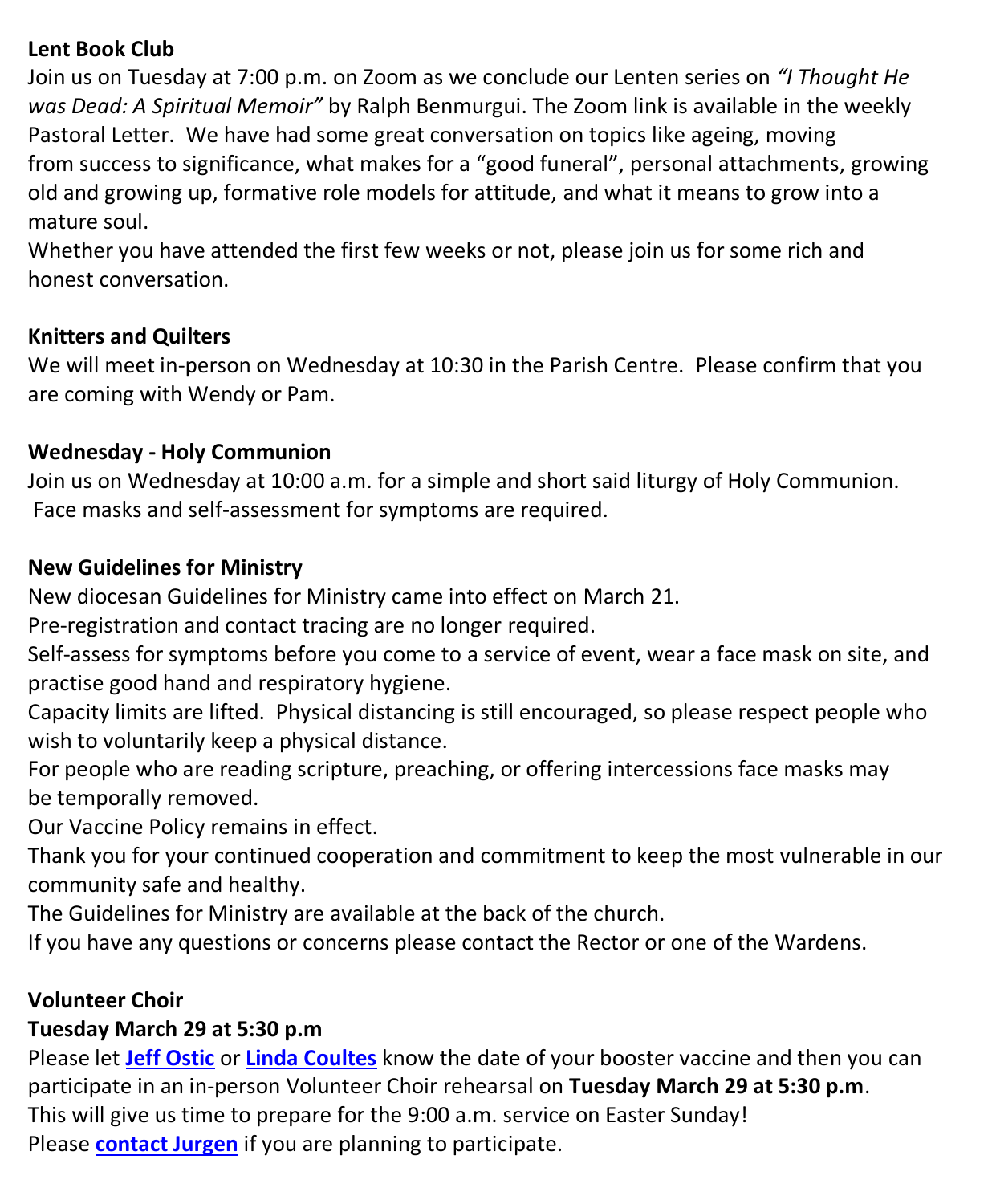## **Lent Book Club**

Join us on Tuesday at 7:00 p.m. on Zoom as we conclude our Lenten series on *"I Thought He was Dead: A Spiritual Memoir"* by Ralph Benmurgui. The Zoom link is available in the weekly Pastoral Letter. We have had some great conversation on topics like ageing, moving from success to significance, what makes for a "good funeral", personal attachments, growing old and growing up, formative role models for attitude, and what it means to grow into a mature soul.

Whether you have attended the first few weeks or not, please join us for some rich and honest conversation.

## **Knitters and Quilters**

We will meet in-person on Wednesday at 10:30 in the Parish Centre. Please confirm that you are coming with Wendy or Pam.

## **Wednesday - Holy Communion**

Join us on Wednesday at 10:00 a.m. for a simple and short said liturgy of Holy Communion. Face masks and self-assessment for symptoms are required.

## **New Guidelines for Ministry**

New diocesan Guidelines for Ministry came into effect on March 21.

Pre-registration and contact tracing are no longer required.

Self-assess for symptoms before you come to a service of event, wear a face mask on site, and practise good hand and respiratory hygiene.

Capacity limits are lifted. Physical distancing is still encouraged, so please respect people who wish to voluntarily keep a physical distance.

For people who are reading scripture, preaching, or offering intercessions face masks may be temporally removed.

Our Vaccine Policy remains in effect.

Thank you for your continued cooperation and commitment to keep the most vulnerable in our community safe and healthy.

The Guidelines for Ministry are available at the back of the church.

If you have any questions or concerns please contact the Rector or one of the Wardens.

## **Volunteer Choir**

#### **Tuesday March 29 at 5:30 p.m**

Please let **[Jeff Ostic](mailto:jeff.ostic@gmail.com)** or **[Linda Coultes](mailto:lmcoultes7@gmail.com)** know the date of your booster vaccine and then you can participate in an in-person Volunteer Choir rehearsal on **Tuesday March 29 at 5:30 p.m**. This will give us time to prepare for the 9:00 a.m. service on Easter Sunday! Please **[contact Jurgen](mailto:jurgen@jurgenpetrenko.com)** if you are planning to participate.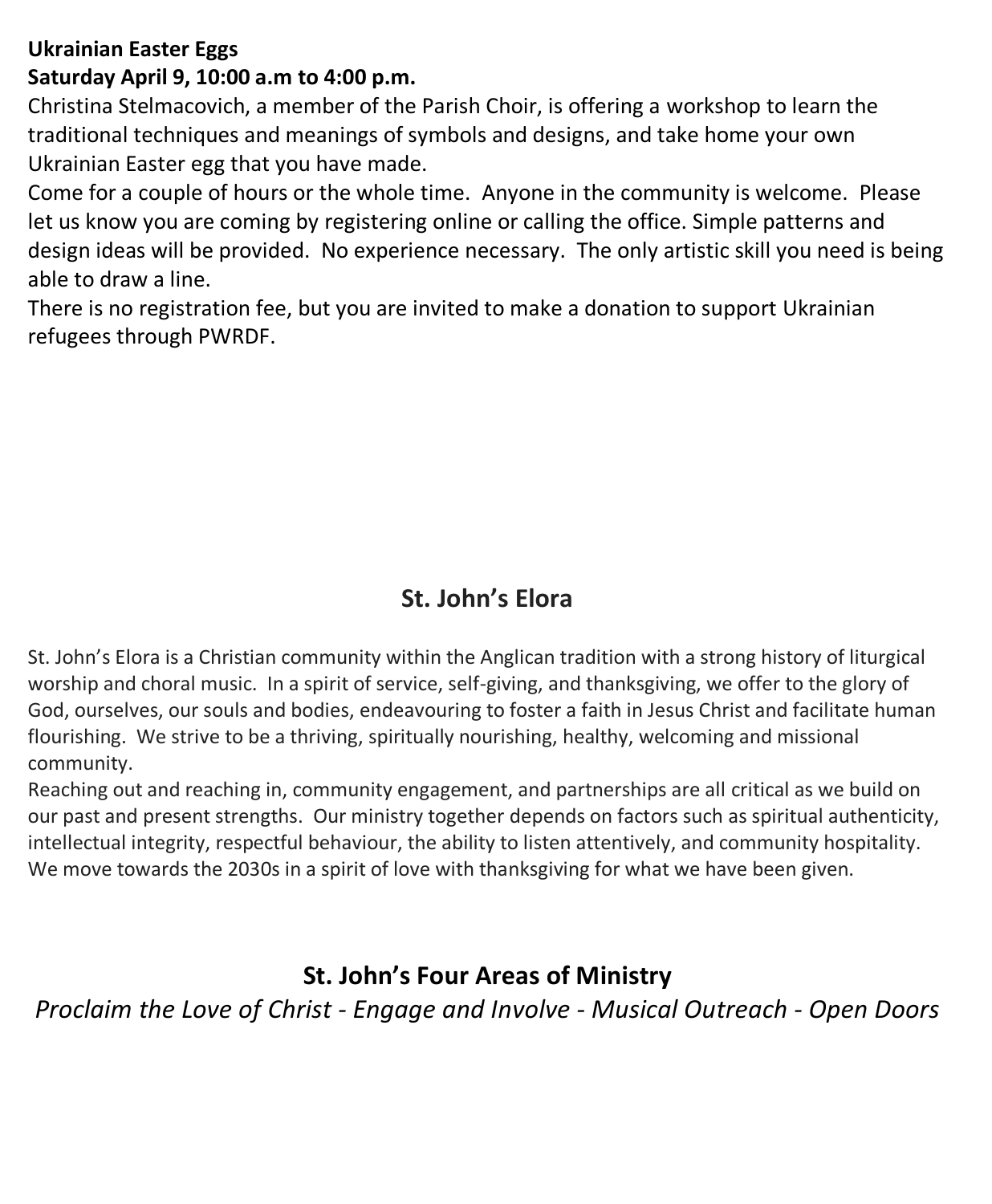# **Ukrainian Easter Eggs**

# **Saturday April 9, 10:00 a.m to 4:00 p.m.**

Christina Stelmacovich, a member of the Parish Choir, is offering a workshop to learn the traditional techniques and meanings of symbols and designs, and take home your own Ukrainian Easter egg that you have made.

Come for a couple of hours or the whole time. Anyone in the community is welcome. Please let us know you are coming by registering online or calling the office. Simple patterns and design ideas will be provided. No experience necessary. The only artistic skill you need is being able to draw a line.

There is no registration fee, but you are invited to make a donation to support Ukrainian refugees through PWRDF.

# **St. John's Elora**

St. John's Elora is a Christian community within the Anglican tradition with a strong history of liturgical worship and choral music. In a spirit of service, self-giving, and thanksgiving, we offer to the glory of God, ourselves, our souls and bodies, endeavouring to foster a faith in Jesus Christ and facilitate human flourishing. We strive to be a thriving, spiritually nourishing, healthy, welcoming and missional community.

Reaching out and reaching in, community engagement, and partnerships are all critical as we build on our past and present strengths. Our ministry together depends on factors such as spiritual authenticity, intellectual integrity, respectful behaviour, the ability to listen attentively, and community hospitality. We move towards the 2030s in a spirit of love with thanksgiving for what we have been given.

# **St. John's Four Areas of Ministry**

*Proclaim the Love of Christ - Engage and Involve - Musical Outreach - Open Doors*